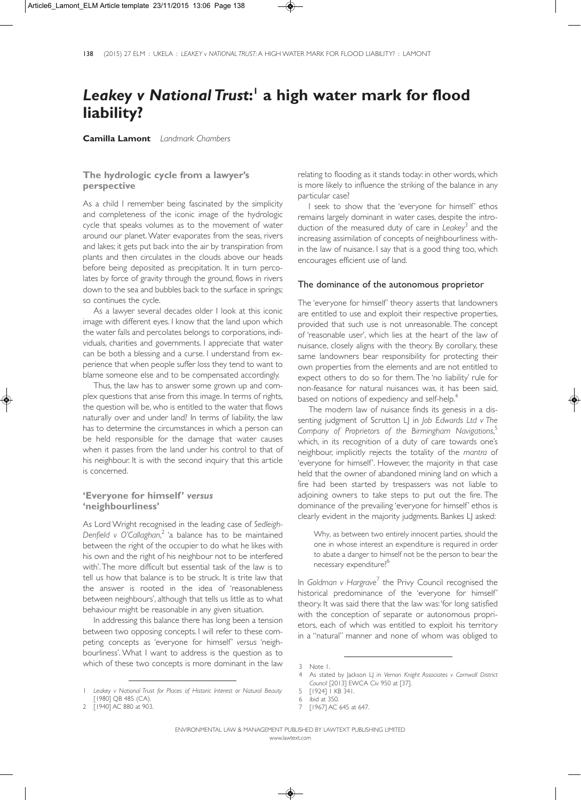# *Leakey v National Trust***: <sup>1</sup> a high water mark for flood liability?**

**Camilla Lamont** *Landmark Chambers*

## **The hydrologic cycle from a lawyer's perspective**

As a child I remember being fascinated by the simplicity and completeness of the iconic image of the hydrologic cycle that speaks volumes as to the movement of water around our planet. Water evaporates from the seas, rivers and lakes; it gets put back into the air by transpiration from plants and then circulates in the clouds above our heads before being deposited as precipitation. It in turn percolates by force of gravity through the ground, flows in rivers down to the sea and bubbles back to the surface in springs; so continues the cycle.

As a lawyer several decades older I look at this iconic image with different eyes. I know that the land upon which the water falls and percolates belongs to corporations, individuals, charities and governments. I appreciate that water can be both a blessing and a curse. I understand from experience that when people suffer loss they tend to want to blame someone else and to be compensated accordingly.

Thus, the law has to answer some grown up and complex questions that arise from this image. In terms of rights, the question will be, who is entitled to the water that flows naturally over and under land? In terms of liability, the law has to determine the circumstances in which a person can be held responsible for the damage that water causes when it passes from the land under his control to that of his neighbour. It is with the second inquiry that this article is concerned.

## **'Everyone for himself'** *versus* **'neighbourliness'**

As Lord Wright recognised in the leading case of *Sedleigh-Denfield v O'Callaghan*, <sup>2</sup> 'a balance has to be maintained between the right of the occupier to do what he likes with his own and the right of his neighbour not to be interfered with'. The more difficult but essential task of the law is to tell us how that balance is to be struck. It is trite law that the answer is rooted in the idea of 'reasonableness between neighbours', although that tells us little as to what behaviour might be reasonable in any given situation.

In addressing this balance there has long been a tension between two opposing concepts. I will refer to these competing concepts as 'everyone for himself' *versus* 'neighbourliness'. What I want to address is the question as to which of these two concepts is more dominant in the law

relating to flooding as it stands today: in other words, which is more likely to influence the striking of the balance in any particular case?

I seek to show that the 'everyone for himself' ethos remains largely dominant in water cases, despite the introduction of the measured duty of care in *Leakey*<sup>3</sup> and the increasing assimilation of concepts of neighbourliness within the law of nuisance. I say that is a good thing too, which encourages efficient use of land.

#### The dominance of the autonomous proprietor

The 'everyone for himself' theory asserts that landowners are entitled to use and exploit their respective properties, provided that such use is not unreasonable. The concept of 'reasonable user', which lies at the heart of the law of nuisance, closely aligns with the theory. By corollary, these same landowners bear responsibility for protecting their own properties from the elements and are not entitled to expect others to do so for them. The 'no liability' rule for non-feasance for natural nuisances was, it has been said, based on notions of expediency and self-help.<sup>4</sup>

The modern law of nuisance finds its genesis in a dissenting judgment of Scrutton LJ in *Job Edwards Ltd v The Company of Proprietors of the Birmingham Navigations*, 5 which, in its recognition of a duty of care towards one's neighbour, implicitly rejects the totality of the *mantra* of 'everyone for himself'. However, the majority in that case held that the owner of abandoned mining land on which a fire had been started by trespassers was not liable to adjoining owners to take steps to put out the fire. The dominance of the prevailing 'everyone for himself' ethos is clearly evident in the majority judgments. Bankes LJ asked:

Why, as between two entirely innocent parties, should the one in whose interest an expenditure is required in order to abate a danger to himself not be the person to bear the necessary expenditure?<sup>6</sup>

In Goldman v Hargrave<sup>7</sup> the Privy Council recognised the historical predominance of the 'everyone for himself' theory. It was said there that the law was: 'for long satisfied with the conception of separate or autonomous proprietors, each of which was entitled to exploit his territory in a "natural" manner and none of whom was obliged to

<sup>1</sup> *Leakey v National Trust for Places of Historic Interest or Natural Beauty* [1980] QB 485 (CA).

<sup>[1940]</sup> AC 880 at 903

<sup>3</sup> Note 1.

<sup>4</sup> As stated by Jackson LJ in *Vernon Knight Associates v Cornwall District Council* [2013] EWCA Civ 950 at [37].

<sup>5 [1924] 1</sup> KB 341.

<sup>6</sup> ibid at 350.

<sup>7 [1967]</sup> AC 645 at 647.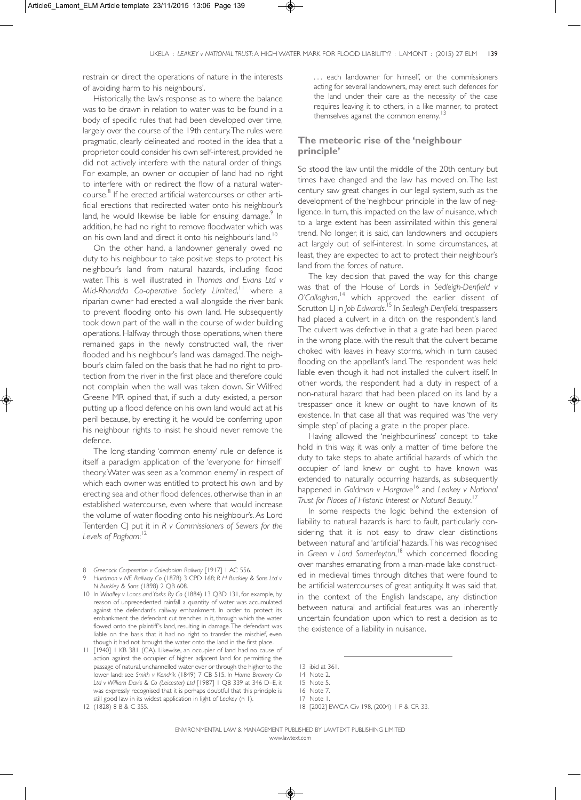restrain or direct the operations of nature in the interests of avoiding harm to his neighbours'.

Historically, the law's response as to where the balance was to be drawn in relation to water was to be found in a body of specific rules that had been developed over time, largely over the course of the 19th century. The rules were pragmatic, clearly delineated and rooted in the idea that a proprietor could consider his own self-interest, provided he did not actively interfere with the natural order of things. For example, an owner or occupier of land had no right to interfere with or redirect the flow of a natural watercourse.8 If he erected artificial watercourses or other artificial erections that redirected water onto his neighbour's land, he would likewise be liable for ensuing damage.<sup>9</sup> In addition, he had no right to remove floodwater which was on his own land and direct it onto his neighbour's land.<sup>10</sup>

On the other hand, a landowner generally owed no duty to his neighbour to take positive steps to protect his neighbour's land from natural hazards, including flood water. This is well illustrated in *Thomas and Evans Ltd v Mid-Rhondda Co-operative Society Limited*, <sup>11</sup> where a riparian owner had erected a wall alongside the river bank to prevent flooding onto his own land. He subsequently took down part of the wall in the course of wider building operations. Halfway through those operations, when there remained gaps in the newly constructed wall, the river flooded and his neighbour's land was damaged. The neighbour's claim failed on the basis that he had no right to protection from the river in the first place and therefore could not complain when the wall was taken down. Sir Wilfred Greene MR opined that, if such a duty existed, a person putting up a flood defence on his own land would act at his peril because, by erecting it, he would be conferring upon his neighbour rights to insist he should never remove the defence.

The long-standing 'common enemy' rule or defence is itself a paradigm application of the 'everyone for himself' theory. Water was seen as a 'common enemy' in respect of which each owner was entitled to protect his own land by erecting sea and other flood defences, otherwise than in an established watercourse, even where that would increase the volume of water flooding onto his neighbour's. As Lord Tenterden CJ put it in *R v Commissioners of Sewers for the Levels of Pagham*: 12

... each landowner for himself, or the commissioners acting for several landowners, may erect such defences for the land under their care as the necessity of the case requires leaving it to others, in a like manner, to protect themselves against the common enemy.<sup>1</sup>

## **The meteoric rise of the 'neighbour principle'**

So stood the law until the middle of the 20th century but times have changed and the law has moved on. The last century saw great changes in our legal system, such as the development of the 'neighbour principle' in the law of negligence. In turn, this impacted on the law of nuisance, which to a large extent has been assimilated within this general trend. No longer, it is said, can landowners and occupiers act largely out of self-interest. In some circumstances, at least, they are expected to act to protect their neighbour's land from the forces of nature.

The key decision that paved the way for this change was that of the House of Lords in *Sedleigh-Denfield v O'Callaghan*, <sup>14</sup> which approved the earlier dissent of Scrutton LJ in *Job Edwards*. <sup>15</sup> In *Sedleigh-Denfield*, trespassers had placed a culvert in a ditch on the respondent's land. The culvert was defective in that a grate had been placed in the wrong place, with the result that the culvert became choked with leaves in heavy storms, which in turn caused flooding on the appellant's land. The respondent was held liable even though it had not installed the culvert itself. In other words, the respondent had a duty in respect of a non-natural hazard that had been placed on its land by a trespasser once it knew or ought to have known of its existence. In that case all that was required was 'the very simple step' of placing a grate in the proper place.

Having allowed the 'neighbourliness' concept to take hold in this way, it was only a matter of time before the duty to take steps to abate artificial hazards of which the occupier of land knew or ought to have known was extended to naturally occurring hazards, as subsequently happened in *Goldman v Hargrave*<sup>16</sup> and *Leakey v National Trust for Places of Historic Interest or Natural Beauty*. 17

In some respects the logic behind the extension of liability to natural hazards is hard to fault, particularly considering that it is not easy to draw clear distinctions between 'natural' and 'artificial' hazards. This was recognised in *Green v Lord Somerleyton*, <sup>18</sup> which concerned flooding over marshes emanating from a man-made lake constructed in medieval times through ditches that were found to be artificial watercourses of great antiquity. It was said that, in the context of the English landscape, any distinction between natural and artificial features was an inherently uncertain foundation upon which to rest a decision as to the existence of a liability in nuisance.

<sup>8</sup> *Greenock Corporation v Caledonian Railway* [1917] 1 AC 556.

<sup>9</sup> *Hurdman v NE Railway Co* (1878) 3 CPD 168; *R H Buckley & Sons Ltd v N Buckley & Sons* (1898) 2 QB 608.

<sup>10</sup> In *Whalley v Lancs and Yorks Ry Co* (1884) 13 QBD 131, for example, by reason of unprecedented rainfall a quantity of water was accumulated against the defendant's railway embankment. In order to protect its embankment the defendant cut trenches in it, through which the water flowed onto the plaintiff's land, resulting in damage. The defendant was liable on the basis that it had no right to transfer the mischief, even though it had not brought the water onto the land in the first place.

<sup>11 [1940] 1</sup> KB 381 (CA). Likewise, an occupier of land had no cause of action against the occupier of higher adjacent land for permitting the passage of natural, unchannelled water over or through the higher to the lower land: see *Smith v Kendrik* (1849) 7 CB 515. In *Home Brewery Co Ltd v William Davis & Co (Leicester) Ltd* [1987] 1 QB 339 at 346 D–E, it was expressly recognised that it is perhaps doubtful that this principle is still good law in its widest application in light of *Leakey* (n 1).

<sup>12 (1828) 8</sup> B & C 355.

<sup>13</sup> ibid at 361.

<sup>14</sup> Note 2.

<sup>15</sup> Note 5.

<sup>16</sup> Note 7. 17 Note 1.

<sup>18 [2002]</sup> EWCA Civ 198, (2004) 1 P & CR 33.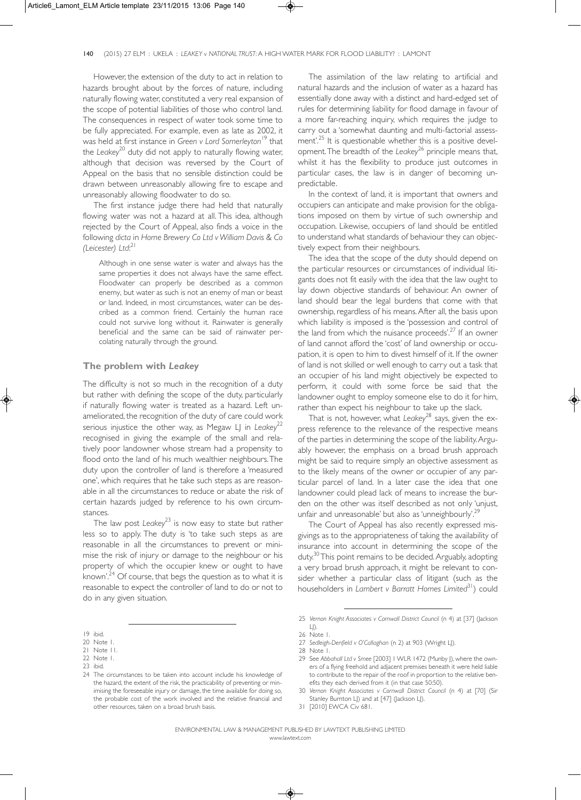However, the extension of the duty to act in relation to hazards brought about by the forces of nature, including naturally flowing water, constituted a very real expansion of the scope of potential liabilities of those who control land. The consequences in respect of water took some time to be fully appreciated. For example, even as late as 2002, it was held at first instance in *Green v Lord Somerleyton*<sup>19</sup> that the *Leakey*<sup>20</sup> duty did not apply to naturally flowing water, although that decision was reversed by the Court of Appeal on the basis that no sensible distinction could be drawn between unreasonably allowing fire to escape and unreasonably allowing floodwater to do so.

The first instance judge there had held that naturally flowing water was not a hazard at all. This idea, although rejected by the Court of Appeal, also finds a voice in the following *dicta* in *Home Brewery Co Ltd v William Davis & Co (Leicester) Ltd*: 21

Although in one sense water is water and always has the same properties it does not always have the same effect. Floodwater can properly be described as a common enemy, but water as such is not an enemy of man or beast or land. Indeed, in most circumstances, water can be described as a common friend. Certainly the human race could not survive long without it. Rainwater is generally beneficial and the same can be said of rainwater percolating naturally through the ground.

#### **The problem with** *Leakey*

The difficulty is not so much in the recognition of a duty but rather with defining the scope of the duty, particularly if naturally flowing water is treated as a hazard. Left unameliorated, the recognition of the duty of care could work serious injustice the other way, as Megaw LJ in *Leakey*<sup>22</sup> recognised in giving the example of the small and relatively poor landowner whose stream had a propensity to flood onto the land of his much wealthier neighbours. The duty upon the controller of land is therefore a 'measured one', which requires that he take such steps as are reasonable in all the circumstances to reduce or abate the risk of certain hazards judged by reference to his own circumstances.

The law post  $Leakey<sup>23</sup>$  is now easy to state but rather less so to apply. The duty is 'to take such steps as are reasonable in all the circumstances to prevent or minimise the risk of injury or damage to the neighbour or his property of which the occupier knew or ought to have known'.<sup>24</sup> Of course, that begs the question as to what it is reasonable to expect the controller of land to do or not to do in any given situation.

The assimilation of the law relating to artificial and natural hazards and the inclusion of water as a hazard has essentially done away with a distinct and hard-edged set of rules for determining liability for flood damage in favour of a more far-reaching inquiry, which requires the judge to carry out a 'somewhat daunting and multi-factorial assessment'.<sup>25</sup> It is questionable whether this is a positive development. The breadth of the *Leakey*<sup>26</sup> principle means that, whilst it has the flexibility to produce just outcomes in particular cases, the law is in danger of becoming unpredictable.

In the context of land, it is important that owners and occupiers can anticipate and make provision for the obligations imposed on them by virtue of such ownership and occupation. Likewise, occupiers of land should be entitled to understand what standards of behaviour they can objectively expect from their neighbours.

The idea that the scope of the duty should depend on the particular resources or circumstances of individual litigants does not fit easily with the idea that the law ought to lay down objective standards of behaviour. An owner of land should bear the legal burdens that come with that ownership, regardless of his means. After all, the basis upon which liability is imposed is the 'possession and control of the land from which the nuisance proceeds'.<sup>27</sup> If an owner of land cannot afford the 'cost' of land ownership or occupation, it is open to him to divest himself of it. If the owner of land is not skilled or well enough to carry out a task that an occupier of his land might objectively be expected to perform, it could with some force be said that the landowner ought to employ someone else to do it for him, rather than expect his neighbour to take up the slack.

That is not, however, what *Leakey*<sup>28</sup> says, given the express reference to the relevance of the respective means of the parties in determining the scope of the liability. Arguably however, the emphasis on a broad brush approach might be said to require simply an objective assessment as to the likely means of the owner or occupier of any particular parcel of land. In a later case the idea that one landowner could plead lack of means to increase the burden on the other was itself described as not only 'unjust, unfair and unreasonable' but also as 'unneighbourly'.<sup>29</sup>

The Court of Appeal has also recently expressed misgivings as to the appropriateness of taking the availability of insurance into account in determining the scope of the duty.<sup>30</sup> This point remains to be decided. Arguably, adopting a very broad brush approach, it might be relevant to consider whether a particular class of litigant (such as the householders in *Lambert v Barratt Homes Limited*31) could

<sup>19</sup> ibid.

<sup>20</sup> Note 1.

<sup>21</sup> Note 11. 22 Note 1.

<sup>23</sup> ibid.

<sup>24</sup> The circumstances to be taken into account include his knowledge of the hazard, the extent of the risk, the practicability of preventing or minimising the foreseeable injury or damage, the time available for doing so, the probable cost of the work involved and the relative financial and other resources, taken on a broad brush basis.

<sup>25</sup> *Vernon Knight Associates v Cornwall District Council* (n 4) at [37] (Jackson  $L$ ).

<sup>26</sup> Note 1.

<sup>27</sup> *Sedleigh-Denfield v O'Callaghan* (n 2) at 903 (Wright LJ).

<sup>28</sup> Note 1.

<sup>29</sup> See *Abbahall Ltd v Smee* [2003] 1 WLR 1472 (Munby J), where the owners of a flying freehold and adjacent premises beneath it were held liable to contribute to the repair of the roof in proportion to the relative benefits they each derived from it (in that case 50:50).

<sup>30</sup> *Vernon Knight Associates v Cornwall District Council* (n 4) at [70] (Sir Stanley Burnton LJ) and at [47] (Jackson LJ).

<sup>31 [2010]</sup> EWCA Civ 681.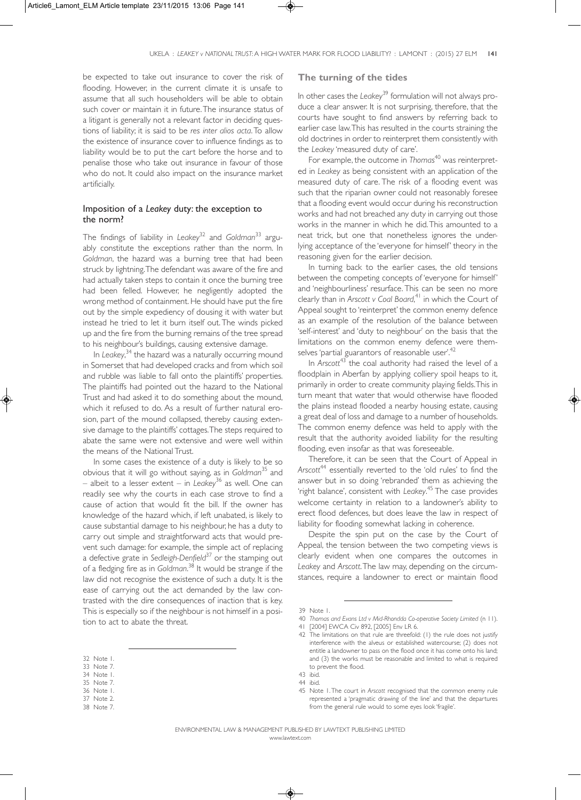be expected to take out insurance to cover the risk of flooding. However, in the current climate it is unsafe to assume that all such householders will be able to obtain such cover or maintain it in future. The insurance status of a litigant is generally not a relevant factor in deciding questions of liability; it is said to be *res inter alios acta*. To allow the existence of insurance cover to influence findings as to liability would be to put the cart before the horse and to penalise those who take out insurance in favour of those who do not. It could also impact on the insurance market artificially.

## Imposition of a *Leakey* duty: the exception to the norm?

The findings of liability in *Leakey*<sup>32</sup> and *Goldman*<sup>33</sup> arguably constitute the exceptions rather than the norm. In *Goldman*, the hazard was a burning tree that had been struck by lightning. The defendant was aware of the fire and had actually taken steps to contain it once the burning tree had been felled. However, he negligently adopted the wrong method of containment. He should have put the fire out by the simple expediency of dousing it with water but instead he tried to let it burn itself out. The winds picked up and the fire from the burning remains of the tree spread to his neighbour's buildings, causing extensive damage.

In *Leakey*, <sup>34</sup> the hazard was a naturally occurring mound in Somerset that had developed cracks and from which soil and rubble was liable to fall onto the plaintiffs' properties. The plaintiffs had pointed out the hazard to the National Trust and had asked it to do something about the mound, which it refused to do. As a result of further natural erosion, part of the mound collapsed, thereby causing extensive damage to the plaintiffs' cottages. The steps required to abate the same were not extensive and were well within the means of the National Trust.

In some cases the existence of a duty is likely to be so obvious that it will go without saying, as in *Goldman*<sup>35</sup> and – albeit to a lesser extent – in *Leakey*<sup>36</sup> as well. One can readily see why the courts in each case strove to find a cause of action that would fit the bill. If the owner has knowledge of the hazard which, if left unabated, is likely to cause substantial damage to his neighbour, he has a duty to carry out simple and straightforward acts that would prevent such damage: for example, the simple act of replacing a defective grate in *Sedleigh-Denfield*<sup>37</sup> or the stamping out of a fledging fire as in *Goldman*. <sup>38</sup> It would be strange if the law did not recognise the existence of such a duty. It is the ease of carrying out the act demanded by the law contrasted with the dire consequences of inaction that is key. This is especially so if the neighbour is not himself in a position to act to abate the threat.

- 36 Note 1.
- 37 Note 2.
- 38 Note 7.

## **The turning of the tides**

In other cases the *Leakey*<sup>39</sup> formulation will not always produce a clear answer. It is not surprising, therefore, that the courts have sought to find answers by referring back to earlier case law. This has resulted in the courts straining the old doctrines in order to reinterpret them consistently with the *Leakey* 'measured duty of care'.

For example, the outcome in *Thomas*<sup>40</sup> was reinterpreted in *Leakey* as being consistent with an application of the measured duty of care. The risk of a flooding event was such that the riparian owner could not reasonably foresee that a flooding event would occur during his reconstruction works and had not breached any duty in carrying out those works in the manner in which he did. This amounted to a neat trick, but one that nonetheless ignores the underlying acceptance of the 'everyone for himself' theory in the reasoning given for the earlier decision.

In turning back to the earlier cases, the old tensions between the competing concepts of 'everyone for himself' and 'neighbourliness' resurface. This can be seen no more clearly than in *Arscott v Coal Board*, <sup>41</sup> in which the Court of Appeal sought to 'reinterpret' the common enemy defence as an example of the resolution of the balance between 'self-interest' and 'duty to neighbour' on the basis that the limitations on the common enemy defence were themselves 'partial guarantors of reasonable user'.<sup>42</sup>

In *Arscott*<sup>43</sup> the coal authority had raised the level of a floodplain in Aberfan by applying colliery spoil heaps to it, primarily in order to create community playing fields. This in turn meant that water that would otherwise have flooded the plains instead flooded a nearby housing estate, causing a great deal of loss and damage to a number of households. The common enemy defence was held to apply with the result that the authority avoided liability for the resulting flooding, even insofar as that was foreseeable.

Therefore, it can be seen that the Court of Appeal in Arscott<sup>44</sup> essentially reverted to the 'old rules' to find the answer but in so doing 'rebranded' them as achieving the 'right balance', consistent with *Leakey*. <sup>45</sup> The case provides welcome certainty in relation to a landowner's ability to erect flood defences, but does leave the law in respect of liability for flooding somewhat lacking in coherence.

Despite the spin put on the case by the Court of Appeal, the tension between the two competing views is clearly evident when one compares the outcomes in *Leakey* and *Arscott*. The law may, depending on the circumstances, require a landowner to erect or maintain flood

<sup>32</sup> Note 1.

<sup>33</sup> Note 7. 34 Note 1.

<sup>35</sup> Note 7.

<sup>39</sup> Note 1.

<sup>40</sup> *Thomas and Evans Ltd v Mid-Rhondda Co-operative Society Limited* (n 11).

<sup>41 [2004]</sup> EWCA Civ 892, [2005] Env LR 6.

<sup>42</sup> The limitations on that rule are threefold: (1) the rule does not justify interference with the alveus or established watercourse; (2) does not entitle a landowner to pass on the flood once it has come onto his land; and (3) the works must be reasonable and limited to what is required to prevent the flood.

<sup>43</sup> ibid.

<sup>44</sup> ibid.

<sup>45</sup> Note 1. The court in *Arscott* recognised that the common enemy rule represented a 'pragmatic drawing of the line' and that the departures from the general rule would to some eyes look 'fragile'.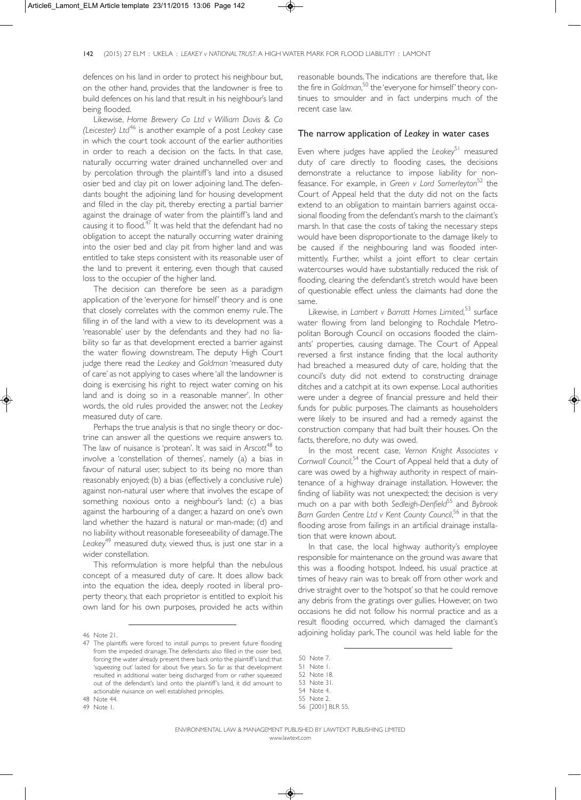defences on his land in order to protect his neighbour but, on the other hand, provides that the landowner is free to build defences on his land that result in his neighbour's land being flooded.

Likewise, *Home Brewery Co Ltd v William Davis & Co (Leicester) Ltd*<sup>46</sup> is another example of a post *Leakey* case in which the court took account of the earlier authorities in order to reach a decision on the facts. In that case, naturally occurring water drained unchannelled over and by percolation through the plaintiff's land into a disused osier bed and clay pit on lower adjoining land. The defendants bought the adjoining land for housing development and filled in the clay pit, thereby erecting a partial barrier against the drainage of water from the plaintiff's land and causing it to flood.<sup>47</sup> It was held that the defendant had no obligation to accept the naturally occurring water draining into the osier bed and clay pit from higher land and was entitled to take steps consistent with its reasonable user of the land to prevent it entering, even though that caused loss to the occupier of the higher land.

The decision can therefore be seen as a paradigm application of the 'everyone for himself' theory and is one that closely correlates with the common enemy rule. The filling in of the land with a view to its development was a 'reasonable' user by the defendants and they had no liability so far as that development erected a barrier against the water flowing downstream. The deputy High Court judge there read the *Leakey* and *Goldman* 'measured duty of care' as not applying to cases where 'all the landowner is doing is exercising his right to reject water coming on his land and is doing so in a reasonable manner'. In other words, the old rules provided the answer, not the *Leakey* measured duty of care.

Perhaps the true analysis is that no single theory or doctrine can answer all the questions we require answers to. The law of nuisance is 'protean'. It was said in Arscott<sup>48</sup> to involve a 'constellation of themes', namely (a) a bias in favour of natural user, subject to its being no more than reasonably enjoyed; (b) a bias (effectively a conclusive rule) against non-natural user where that involves the escape of something noxious onto a neighbour's land; (c) a bias against the harbouring of a danger, a hazard on one's own land whether the hazard is natural or man-made; (d) and no liability without reasonable foreseeability of damage. The *Leakey*<sup>49</sup> measured duty, viewed thus, is just one star in a wider constellation.

This reformulation is more helpful than the nebulous concept of a measured duty of care. It does allow back into the equation the idea, deeply rooted in liberal property theory, that each proprietor is entitled to exploit his own land for his own purposes, provided he acts within

48 Note 44.

49 Note 1.

reasonable bounds. The indications are therefore that, like the fire in *Goldman*, <sup>50</sup> the 'everyone for himself' theory continues to smoulder and in fact underpins much of the recent case law.

### The narrow application of *Leakey* in water cases

Even where judges have applied the *Leakey*<sup>51</sup> measured duty of care directly to flooding cases, the decisions demonstrate a reluctance to impose liability for nonfeasance. For example, in *Green v Lord Somerleyton*<sup>52</sup> the Court of Appeal held that the duty did not on the facts extend to an obligation to maintain barriers against occasional flooding from the defendant's marsh to the claimant's marsh. In that case the costs of taking the necessary steps would have been disproportionate to the damage likely to be caused if the neighbouring land was flooded intermittently. Further, whilst a joint effort to clear certain watercourses would have substantially reduced the risk of flooding, clearing the defendant's stretch would have been of questionable effect unless the claimants had done the same.

Likewise, in *Lambert v Barratt Homes Limited*, <sup>53</sup> surface water flowing from land belonging to Rochdale Metropolitan Borough Council on occasions flooded the claimants' properties, causing damage. The Court of Appeal reversed a first instance finding that the local authority had breached a measured duty of care, holding that the council's duty did not extend to constructing drainage ditches and a catchpit at its own expense. Local authorities were under a degree of financial pressure and held their funds for public purposes. The claimants as householders were likely to be insured and had a remedy against the construction company that had built their houses. On the facts, therefore, no duty was owed.

In the most recent case, *Vernon Knight Associates v* Cornwall Council,<sup>54</sup> the Court of Appeal held that a duty of care was owed by a highway authority in respect of maintenance of a highway drainage installation. However, the finding of liability was not unexpected; the decision is very much on a par with both *Sedleigh-Denfield*<sup>55</sup> and *Bybrook Barn Garden Centre Ltd v Kent County Council*, <sup>56</sup> in that the flooding arose from failings in an artificial drainage installation that were known about.

In that case, the local highway authority's employee responsible for maintenance on the ground was aware that this was a flooding hotspot. Indeed, his usual practice at times of heavy rain was to break off from other work and drive straight over to the 'hotspot' so that he could remove any debris from the gratings over gullies. However, on two occasions he did not follow his normal practice and as a result flooding occurred, which damaged the claimant's adjoining holiday park. The council was held liable for the

<sup>46</sup> Note 21.

<sup>47</sup> The plaintiffs were forced to install pumps to prevent future flooding from the impeded drainage. The defendants also filled in the osier bed, forcing the water already present there back onto the plaintiff's land; that 'squeezing out' lasted for about five years. So far as that development resulted in additional water being discharged from or rather squeezed out of the defendant's land onto the plaintiff's land, it did amount to actionable nuisance on well established principles.

<sup>50</sup> Note 7.

<sup>51</sup> Note 1.

<sup>52</sup> Note 18.

<sup>53</sup> Note 31. 54 Note 4.

<sup>55</sup> Note 2.

<sup>56 [2001]</sup> BLR 55.